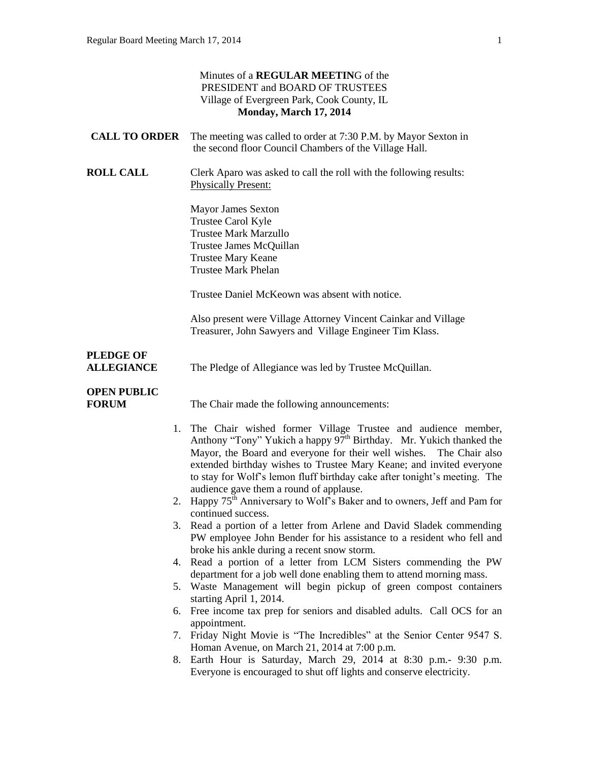| Minutes of a REGULAR MEETING of the<br>PRESIDENT and BOARD OF TRUSTEES<br>Village of Evergreen Park, Cook County, IL<br>Monday, March 17, 2014 |                                                                                                                                                                                                                                                                                                                                                                         |
|------------------------------------------------------------------------------------------------------------------------------------------------|-------------------------------------------------------------------------------------------------------------------------------------------------------------------------------------------------------------------------------------------------------------------------------------------------------------------------------------------------------------------------|
| <b>CALL TO ORDER</b>                                                                                                                           | The meeting was called to order at 7:30 P.M. by Mayor Sexton in<br>the second floor Council Chambers of the Village Hall.                                                                                                                                                                                                                                               |
| <b>ROLL CALL</b>                                                                                                                               | Clerk Aparo was asked to call the roll with the following results:<br><b>Physically Present:</b>                                                                                                                                                                                                                                                                        |
|                                                                                                                                                | <b>Mayor James Sexton</b><br>Trustee Carol Kyle<br><b>Trustee Mark Marzullo</b><br>Trustee James McQuillan<br><b>Trustee Mary Keane</b><br><b>Trustee Mark Phelan</b>                                                                                                                                                                                                   |
|                                                                                                                                                | Trustee Daniel McKeown was absent with notice.                                                                                                                                                                                                                                                                                                                          |
|                                                                                                                                                | Also present were Village Attorney Vincent Cainkar and Village<br>Treasurer, John Sawyers and Village Engineer Tim Klass.                                                                                                                                                                                                                                               |
| <b>PLEDGE OF</b><br><b>ALLEGIANCE</b>                                                                                                          | The Pledge of Allegiance was led by Trustee McQuillan.                                                                                                                                                                                                                                                                                                                  |
| <b>OPEN PUBLIC</b><br><b>FORUM</b>                                                                                                             | The Chair made the following announcements:                                                                                                                                                                                                                                                                                                                             |
|                                                                                                                                                | 1. The Chair wished former Village Trustee and audience member,<br>Anthony "Tony" Yukich a happy $97th$ Birthday. Mr. Yukich thanked the<br>Mayor, the Board and everyone for their well wishes.<br>The Chair also<br>extended birthday wishes to Trustee Mary Keane; and invited everyone<br>to stay for Wolf's lemon fluff birthday cake after tonight's meeting. The |
|                                                                                                                                                | audience gave them a round of applause.<br>2. Happy 75 <sup>th</sup> Anniversary to Wolf's Baker and to owners, Jeff and Pam for<br>continued success.                                                                                                                                                                                                                  |
|                                                                                                                                                | 3. Read a portion of a letter from Arlene and David Sladek commending<br>PW employee John Bender for his assistance to a resident who fell and<br>broke his ankle during a recent snow storm.                                                                                                                                                                           |
|                                                                                                                                                | 4. Read a portion of a letter from LCM Sisters commending the PW                                                                                                                                                                                                                                                                                                        |
|                                                                                                                                                | department for a job well done enabling them to attend morning mass.<br>5. Waste Management will begin pickup of green compost containers<br>starting April 1, 2014.                                                                                                                                                                                                    |
|                                                                                                                                                | 6. Free income tax prep for seniors and disabled adults. Call OCS for an<br>appointment.                                                                                                                                                                                                                                                                                |
|                                                                                                                                                | 7. Friday Night Movie is "The Incredibles" at the Senior Center 9547 S.                                                                                                                                                                                                                                                                                                 |
|                                                                                                                                                | Homan Avenue, on March 21, 2014 at 7:00 p.m.<br>8. Earth Hour is Saturday, March 29, 2014 at 8:30 p.m. - 9:30 p.m.<br>Everyone is encouraged to shut off lights and conserve electricity.                                                                                                                                                                               |
|                                                                                                                                                |                                                                                                                                                                                                                                                                                                                                                                         |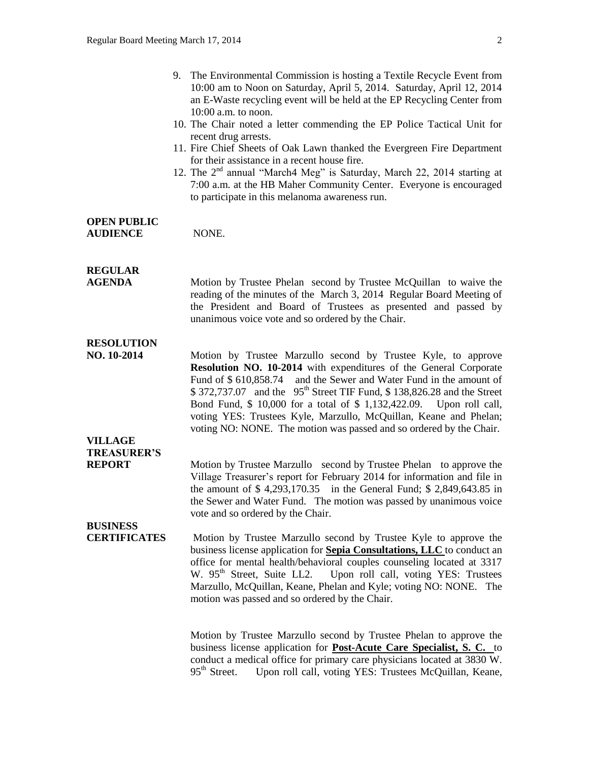- 10. The Chair noted a letter commending the EP Police Tactical Unit for recent drug arrests.
- 11. Fire Chief Sheets of Oak Lawn thanked the Evergreen Fire Department for their assistance in a recent house fire.
- 12. The 2<sup>nd</sup> annual "March4 Meg" is Saturday, March 22, 2014 starting at 7:00 a.m. at the HB Maher Community Center. Everyone is encouraged to participate in this melanoma awareness run.

# **OPEN PUBLIC**

**AUDIENCE** NONE.

# **REGULAR**

**AGENDA Motion by Trustee Phelan second by Trustee McQuillan to waive the** reading of the minutes of the March 3, 2014 Regular Board Meeting of the President and Board of Trustees as presented and passed by unanimous voice vote and so ordered by the Chair.

# **RESOLUTION**

**NO. 10-2014** Motion by Trustee Marzullo second by Trustee Kyle, to approve **Resolution NO. 10-2014** with expenditures of the General Corporate Fund of \$ 610,858.74 and the Sewer and Water Fund in the amount of  $$372,737.07$  and the  $95<sup>th</sup>$  Street TIF Fund, \$ 138,826.28 and the Street Bond Fund, \$ 10,000 for a total of \$ 1,132,422.09. Upon roll call, voting YES: Trustees Kyle, Marzullo, McQuillan, Keane and Phelan; voting NO: NONE. The motion was passed and so ordered by the Chair.

## **VILLAGE TREASURER'S**

**REPORT** Motion by Trustee Marzullo second by Trustee Phelan to approve the Village Treasurer's report for February 2014 for information and file in the amount of \$ 4,293,170.35 in the General Fund; \$ 2,849,643.85 in the Sewer and Water Fund. The motion was passed by unanimous voice vote and so ordered by the Chair.

# **BUSINESS**

**CERTIFICATES** Motion by Trustee Marzullo second by Trustee Kyle to approve the business license application for **Sepia Consultations, LLC** to conduct an office for mental health/behavioral couples counseling located at 3317 W. 95<sup>th</sup> Street, Suite LL2. Upon roll call, voting YES: Trustees Marzullo, McQuillan, Keane, Phelan and Kyle; voting NO: NONE. The motion was passed and so ordered by the Chair.

> Motion by Trustee Marzullo second by Trustee Phelan to approve the business license application for **Post-Acute Care Specialist, S. C.** to conduct a medical office for primary care physicians located at 3830 W. 95<sup>th</sup> Street. Upon roll call, voting YES: Trustees McQuillan, Keane,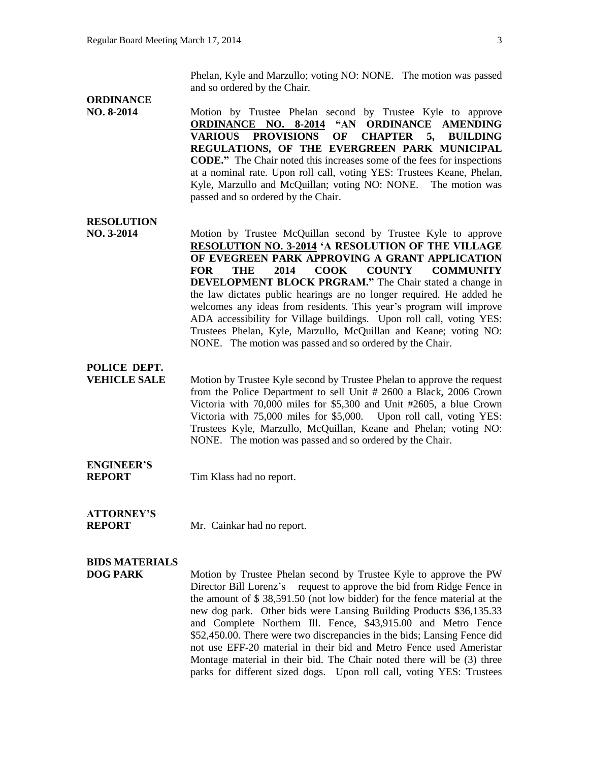Phelan, Kyle and Marzullo; voting NO: NONE. The motion was passed and so ordered by the Chair.

### **ORDINANCE**

**NO. 8-2014** Motion by Trustee Phelan second by Trustee Kyle to approve **ORDINANCE NO. 8-2014 "AN ORDINANCE AMENDING VARIOUS PROVISIONS OF CHAPTER 5, BUILDING REGULATIONS, OF THE EVERGREEN PARK MUNICIPAL CODE."** The Chair noted this increases some of the fees for inspections at a nominal rate. Upon roll call, voting YES: Trustees Keane, Phelan, Kyle, Marzullo and McQuillan; voting NO: NONE. The motion was passed and so ordered by the Chair.

#### **RESOLUTION**

**NO. 3-2014 Motion by Trustee McQuillan second by Trustee Kyle to approve RESOLUTION NO. 3-2014 'A RESOLUTION OF THE VILLAGE OF EVEGREEN PARK APPROVING A GRANT APPLICATION FOR THE 2014 COOK COUNTY COMMUNITY DEVELOPMENT BLOCK PRGRAM."** The Chair stated a change in the law dictates public hearings are no longer required. He added he welcomes any ideas from residents. This year's program will improve ADA accessibility for Village buildings. Upon roll call, voting YES: Trustees Phelan, Kyle, Marzullo, McQuillan and Keane; voting NO: NONE. The motion was passed and so ordered by the Chair.

### **POLICE DEPT.**

**VEHICLE SALE** Motion by Trustee Kyle second by Trustee Phelan to approve the request from the Police Department to sell Unit # 2600 a Black, 2006 Crown Victoria with 70,000 miles for \$5,300 and Unit #2605, a blue Crown Victoria with 75,000 miles for \$5,000. Upon roll call, voting YES: Trustees Kyle, Marzullo, McQuillan, Keane and Phelan; voting NO: NONE. The motion was passed and so ordered by the Chair.

# **ENGINEER'S**

**REPORT** Tim Klass had no report.

# **ATTORNEY'S**

**REPORT** Mr. Cainkar had no report.

### **BIDS MATERIALS**

**DOG PARK** Motion by Trustee Phelan second by Trustee Kyle to approve the PW Director Bill Lorenz's request to approve the bid from Ridge Fence in the amount of \$ 38,591.50 (not low bidder) for the fence material at the new dog park. Other bids were Lansing Building Products \$36,135.33 and Complete Northern Ill. Fence, \$43,915.00 and Metro Fence \$52,450.00. There were two discrepancies in the bids; Lansing Fence did not use EFF-20 material in their bid and Metro Fence used Ameristar Montage material in their bid. The Chair noted there will be (3) three parks for different sized dogs. Upon roll call, voting YES: Trustees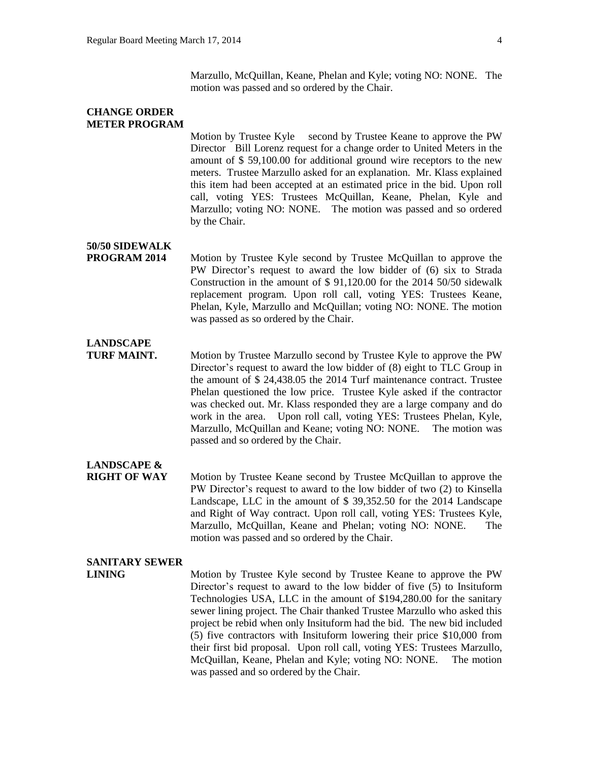Marzullo, McQuillan, Keane, Phelan and Kyle; voting NO: NONE. The motion was passed and so ordered by the Chair.

#### **CHANGE ORDER METER PROGRAM**

Motion by Trustee Kyle second by Trustee Keane to approve the PW Director Bill Lorenz request for a change order to United Meters in the amount of \$ 59,100.00 for additional ground wire receptors to the new meters. Trustee Marzullo asked for an explanation. Mr. Klass explained this item had been accepted at an estimated price in the bid. Upon roll call, voting YES: Trustees McQuillan, Keane, Phelan, Kyle and Marzullo; voting NO: NONE. The motion was passed and so ordered by the Chair.

### **50/50 SIDEWALK**

**PROGRAM 2014** Motion by Trustee Kyle second by Trustee McQuillan to approve the PW Director's request to award the low bidder of (6) six to Strada Construction in the amount of \$ 91,120.00 for the 2014 50/50 sidewalk replacement program. Upon roll call, voting YES: Trustees Keane, Phelan, Kyle, Marzullo and McQuillan; voting NO: NONE. The motion was passed as so ordered by the Chair.

## **LANDSCAPE**

**TURF MAINT.** Motion by Trustee Marzullo second by Trustee Kyle to approve the PW Director's request to award the low bidder of (8) eight to TLC Group in the amount of \$ 24,438.05 the 2014 Turf maintenance contract. Trustee Phelan questioned the low price. Trustee Kyle asked if the contractor was checked out. Mr. Klass responded they are a large company and do work in the area. Upon roll call, voting YES: Trustees Phelan, Kyle, Marzullo, McQuillan and Keane; voting NO: NONE. The motion was passed and so ordered by the Chair.

## **LANDSCAPE &**

**RIGHT OF WAY** Motion by Trustee Keane second by Trustee McQuillan to approve the PW Director's request to award to the low bidder of two (2) to Kinsella Landscape, LLC in the amount of \$ 39,352.50 for the 2014 Landscape and Right of Way contract. Upon roll call, voting YES: Trustees Kyle, Marzullo, McQuillan, Keane and Phelan; voting NO: NONE. The motion was passed and so ordered by the Chair.

### **SANITARY SEWER**

**LINING** Motion by Trustee Kyle second by Trustee Keane to approve the PW Director's request to award to the low bidder of five (5) to Insituform Technologies USA, LLC in the amount of \$194,280.00 for the sanitary sewer lining project. The Chair thanked Trustee Marzullo who asked this project be rebid when only Insituform had the bid. The new bid included (5) five contractors with Insituform lowering their price \$10,000 from their first bid proposal. Upon roll call, voting YES: Trustees Marzullo, McQuillan, Keane, Phelan and Kyle; voting NO: NONE. The motion was passed and so ordered by the Chair.